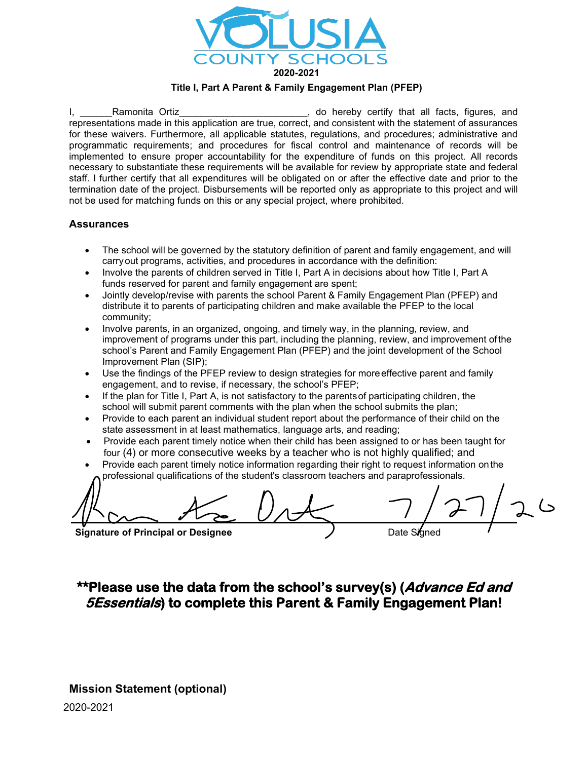

#### **Title I, Part A Parent & Family Engagement Plan (PFEP)**

I, Bamonita Ortiz **I, and the Content of the Content Content** of the Ramonita Ortiz representations made in this application are true, correct, and consistent with the statement of assurances for these waivers. Furthermore, all applicable statutes, regulations, and procedures; administrative and programmatic requirements; and procedures for fiscal control and maintenance of records will be implemented to ensure proper accountability for the expenditure of funds on this project. All records necessary to substantiate these requirements will be available for review by appropriate state and federal staff. I further certify that all expenditures will be obligated on or after the effective date and prior to the termination date of the project. Disbursements will be reported only as appropriate to this project and will not be used for matching funds on this or any special project, where prohibited.

#### **Assurances**

- The school will be governed by the statutory definition of parent and family engagement, and will carryout programs, activities, and procedures in accordance with the definition:
- Involve the parents of children served in Title I, Part A in decisions about how Title I, Part A funds reserved for parent and family engagement are spent;
- Jointly develop/revise with parents the school Parent & Family Engagement Plan (PFEP) and distribute it to parents of participating children and make available the PFEP to the local community;
- Involve parents, in an organized, ongoing, and timely way, in the planning, review, and improvement of programs under this part, including the planning, review, and improvement ofthe school's Parent and Family Engagement Plan (PFEP) and the joint development of the School Improvement Plan (SIP);
- Use the findings of the PFEP review to design strategies for more effective parent and family engagement, and to revise, if necessary, the school's PFEP;
- If the plan for Title I, Part A, is not satisfactory to the parents of participating children, the school will submit parent comments with the plan when the school submits the plan;
- Provide to each parent an individual student report about the performance of their child on the state assessment in at least mathematics, language arts, and reading;
- Provide each parent timely notice when their child has been assigned to or has been taught for four (4) or more consecutive weeks by a teacher who is not highly qualified; and
- Provide each parent timely notice information regarding their right to request information onthe professional qualifications of the student's classroom teachers and paraprofessionals.

**Signature of Principal or Designee** 

## **\*\*Please use the data from the school's survey(s) (Advance Ed and 5Essentials) to complete this Parent & Family Engagement Plan!**

2020-2021 **Mission Statement (optional)**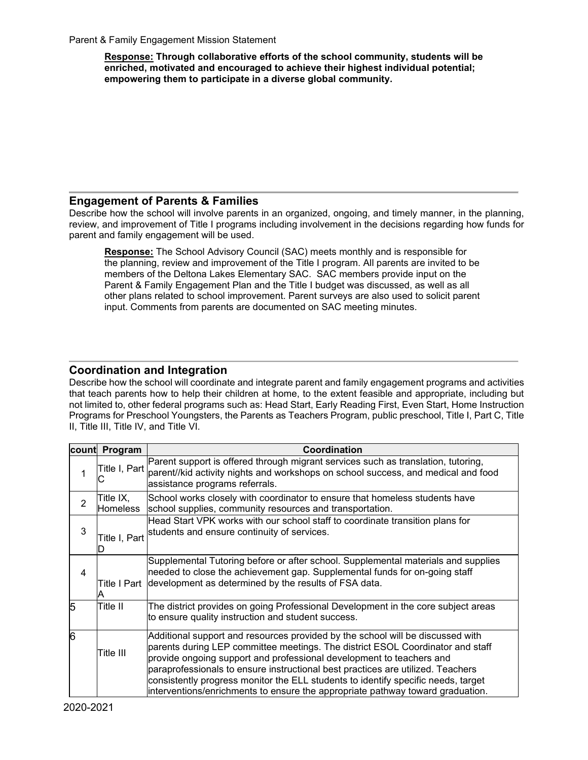**Response: Through collaborative efforts of the school community, students will be enriched, motivated and encouraged to achieve their highest individual potential; empowering them to participate in a diverse global community.**

## **Engagement of Parents & Families**

Describe how the school will involve parents in an organized, ongoing, and timely manner, in the planning, review, and improvement of Title I programs including involvement in the decisions regarding how funds for parent and family engagement will be used.

**Response:** The School Advisory Council (SAC) meets monthly and is responsible for the planning, review and improvement of the Title I program. All parents are invited to be members of the Deltona Lakes Elementary SAC. SAC members provide input on the Parent & Family Engagement Plan and the Title I budget was discussed, as well as all other plans related to school improvement. Parent surveys are also used to solicit parent input. Comments from parents are documented on SAC meeting minutes.

## **Coordination and Integration**

Describe how the school will coordinate and integrate parent and family engagement programs and activities that teach parents how to help their children at home, to the extent feasible and appropriate, including but not limited to, other federal programs such as: Head Start, Early Reading First, Even Start, Home Instruction Programs for Preschool Youngsters, the Parents as Teachers Program, public preschool, Title I, Part C, Title II, Title III, Title IV, and Title VI.

|                | count Program                | Coordination                                                                                                                                                                                                                                                                                                                                                                                                                                                                                       |
|----------------|------------------------------|----------------------------------------------------------------------------------------------------------------------------------------------------------------------------------------------------------------------------------------------------------------------------------------------------------------------------------------------------------------------------------------------------------------------------------------------------------------------------------------------------|
|                | Title I, Part<br>C           | Parent support is offered through migrant services such as translation, tutoring,<br>parent//kid activity nights and workshops on school success, and medical and food<br>assistance programs referrals.                                                                                                                                                                                                                                                                                           |
| $\overline{2}$ | Title IX,<br><b>Homeless</b> | School works closely with coordinator to ensure that homeless students have<br>school supplies, community resources and transportation.                                                                                                                                                                                                                                                                                                                                                            |
| 3              | Title I, Part                | Head Start VPK works with our school staff to coordinate transition plans for<br>students and ensure continuity of services.                                                                                                                                                                                                                                                                                                                                                                       |
| 4              |                              | Supplemental Tutoring before or after school. Supplemental materials and supplies<br>needed to close the achievement gap. Supplemental funds for on-going staff<br>Title I Part development as determined by the results of FSA data.                                                                                                                                                                                                                                                              |
| 5              | Title II                     | The district provides on going Professional Development in the core subject areas<br>to ensure quality instruction and student success.                                                                                                                                                                                                                                                                                                                                                            |
| $\overline{6}$ | Title III                    | Additional support and resources provided by the school will be discussed with<br>parents during LEP committee meetings. The district ESOL Coordinator and staff<br>provide ongoing support and professional development to teachers and<br>paraprofessionals to ensure instructional best practices are utilized. Teachers<br>consistently progress monitor the ELL students to identify specific needs, target<br>interventions/enrichments to ensure the appropriate pathway toward graduation. |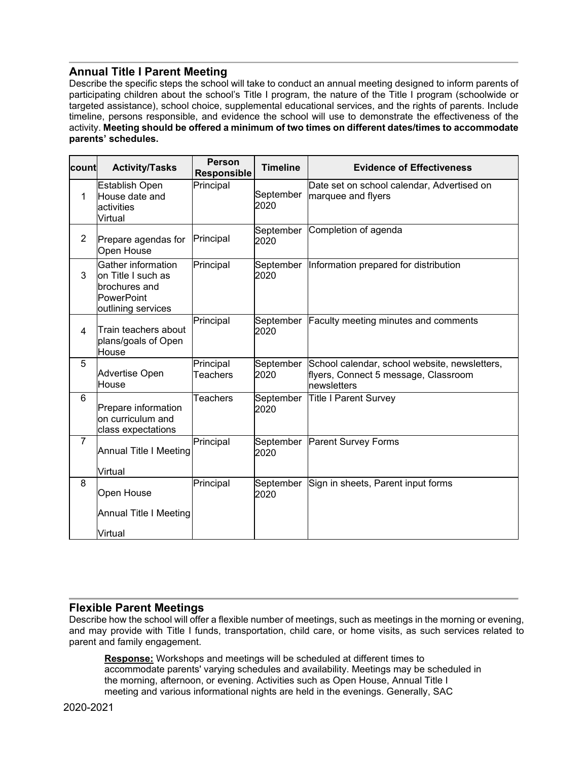## **Annual Title I Parent Meeting**

Describe the specific steps the school will take to conduct an annual meeting designed to inform parents of participating children about the school's Title I program, the nature of the Title I program (schoolwide or targeted assistance), school choice, supplemental educational services, and the rights of parents. Include timeline, persons responsible, and evidence the school will use to demonstrate the effectiveness of the activity. **Meeting should be offered a minimum of two times on different dates/times to accommodate parents' schedules.**

| count          | <b>Activity/Tasks</b>                                                                                | <b>Person</b><br><b>Responsible</b> | <b>Timeline</b>   | <b>Evidence of Effectiveness</b>                                                                     |
|----------------|------------------------------------------------------------------------------------------------------|-------------------------------------|-------------------|------------------------------------------------------------------------------------------------------|
| 1              | <b>Establish Open</b><br>House date and<br>activities<br>Virtual                                     | Principal                           | September<br>2020 | Date set on school calendar, Advertised on<br>marquee and flyers                                     |
| $\overline{2}$ | Prepare agendas for<br>Open House                                                                    | Principal                           | September<br>2020 | Completion of agenda                                                                                 |
| 3              | Gather information<br>on Title I such as<br>brochures and<br><b>PowerPoint</b><br>outlining services | Principal                           | September<br>2020 | Information prepared for distribution                                                                |
| 4              | Train teachers about<br>plans/goals of Open<br>House                                                 | Principal                           | September<br>2020 | Faculty meeting minutes and comments                                                                 |
| 5              | <b>Advertise Open</b><br>House                                                                       | Principal<br><b>Teachers</b>        | September<br>2020 | School calendar, school website, newsletters,<br>flyers, Connect 5 message, Classroom<br>newsletters |
| 6              | Prepare information<br>on curriculum and<br>class expectations                                       | <b>Teachers</b>                     | September<br>2020 | <b>Title I Parent Survey</b>                                                                         |
| $\overline{7}$ | Annual Title I Meeting                                                                               | Principal                           | September<br>2020 | <b>Parent Survey Forms</b>                                                                           |
|                | Virtual                                                                                              |                                     |                   |                                                                                                      |
| 8              | Open House                                                                                           | Principal                           | September<br>2020 | Sign in sheets, Parent input forms                                                                   |
|                | <b>Annual Title I Meeting</b>                                                                        |                                     |                   |                                                                                                      |
|                | Virtual                                                                                              |                                     |                   |                                                                                                      |

## **Flexible Parent Meetings**

Describe how the school will offer a flexible number of meetings, such as meetings in the morning or evening, and may provide with Title I funds, transportation, child care, or home visits, as such services related to parent and family engagement.

**Response:** Workshops and meetings will be scheduled at different times to accommodate parents' varying schedules and availability. Meetings may be scheduled in the morning, afternoon, or evening. Activities such as Open House, Annual Title I meeting and various informational nights are held in the evenings. Generally, SAC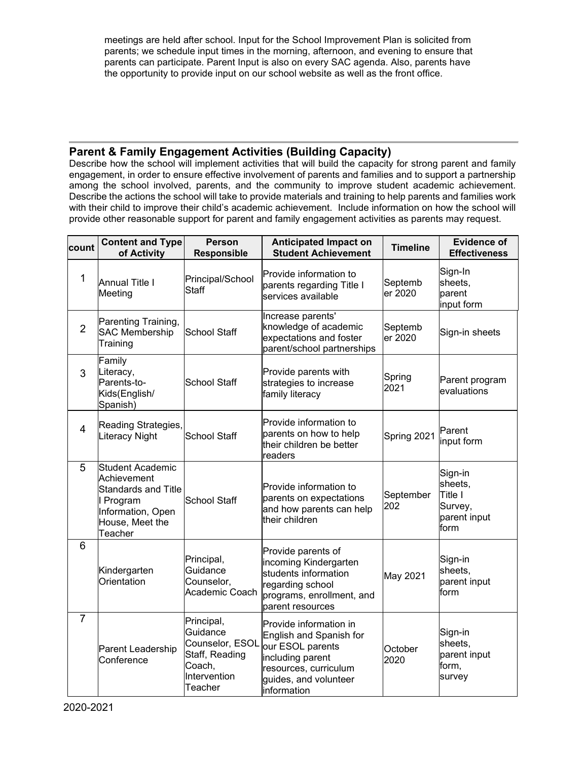meetings are held after school. Input for the School Improvement Plan is solicited from parents; we schedule input times in the morning, afternoon, and evening to ensure that parents can participate. Parent Input is also on every SAC agenda. Also, parents have the opportunity to provide input on our school website as well as the front office.

## **Parent & Family Engagement Activities (Building Capacity)**

Describe how the school will implement activities that will build the capacity for strong parent and family engagement, in order to ensure effective involvement of parents and families and to support a partnership among the school involved, parents, and the community to improve student academic achievement. Describe the actions the school will take to provide materials and training to help parents and families work with their child to improve their child's academic achievement. Include information on how the school will provide other reasonable support for parent and family engagement activities as parents may request.

| count          | <b>Content and Type</b><br>of Activity                                                                                        | <b>Person</b><br>Responsible                                                                     | <b>Anticipated Impact on</b><br><b>Student Achievement</b>                                                                                                 | <b>Timeline</b>    | <b>Evidence of</b><br><b>Effectiveness</b>                       |
|----------------|-------------------------------------------------------------------------------------------------------------------------------|--------------------------------------------------------------------------------------------------|------------------------------------------------------------------------------------------------------------------------------------------------------------|--------------------|------------------------------------------------------------------|
| $\mathbf{1}$   | <b>Annual Title I</b><br>Meeting                                                                                              | Principal/School<br><b>Staff</b>                                                                 | Provide information to<br>parents regarding Title I<br>services available                                                                                  | Septemb<br>er 2020 | Sign-In<br>sheets,<br>parent<br>input form                       |
| $\overline{2}$ | Parenting Training,<br><b>SAC Membership</b><br>Training                                                                      | School Staff                                                                                     | Increase parents'<br>knowledge of academic<br>expectations and foster<br>parent/school partnerships                                                        | Septemb<br>er 2020 | Sign-in sheets                                                   |
| 3              | Family<br>Literacy,<br>Parents-to-<br><b>School Staff</b><br>Kids(English/<br>Spanish)                                        |                                                                                                  | Provide parents with<br>strategies to increase<br>family literacy                                                                                          | Spring<br>2021     | Parent program<br>evaluations                                    |
| $\overline{4}$ | Reading Strategies,<br>Literacy Night                                                                                         | <b>School Staff</b>                                                                              | Provide information to<br>parents on how to help<br>their children be better<br>readers                                                                    | Spring 2021        | Parent<br>input form                                             |
| 5              | Student Academic<br>Achievement<br><b>Standards and Title</b><br>I Program<br>Information, Open<br>House, Meet the<br>Teacher | School Staff                                                                                     | Provide information to<br>parents on expectations<br>and how parents can help<br>their children                                                            | September<br>202   | Sign-in<br>sheets,<br>Title I<br>Survey,<br>parent input<br>form |
| 6              | Kindergarten<br>Orientation                                                                                                   | Principal,<br>Guidance<br>Counselor,<br>Academic Coach                                           | Provide parents of<br>incoming Kindergarten<br>students information<br>regarding school<br>programs, enrollment, and<br>parent resources                   | May 2021           | Sign-in<br>sheets,<br>parent input<br>form                       |
| $\overline{7}$ | Parent Leadership<br>Conference                                                                                               | Principal,<br>Guidance<br>Counselor, ESOL<br>Staff, Reading<br>Coach,<br>Intervention<br>Teacher | Provide information in<br>English and Spanish for<br>our ESOL parents<br>including parent<br>resources, curriculum<br>guides, and volunteer<br>information | October<br>2020    | Sign-in<br>sheets,<br>parent input<br>form,<br>survey            |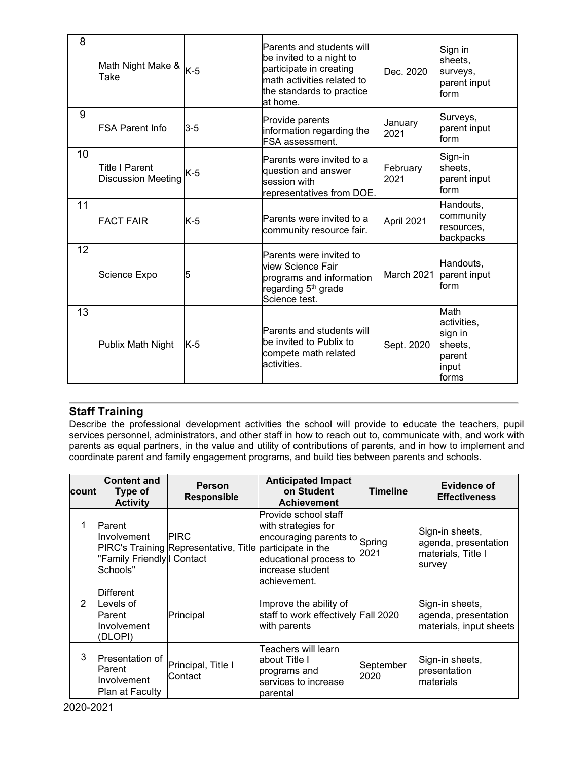| 8  | Math Night Make & <sub>K-5</sub><br>Take    |         | Parents and students will<br>be invited to a night to<br>participate in creating<br>math activities related to<br>the standards to practice<br>lat home. | Dec. 2020        | Sign in<br>sheets,<br>surveys,<br>parent input<br>form                |
|----|---------------------------------------------|---------|----------------------------------------------------------------------------------------------------------------------------------------------------------|------------------|-----------------------------------------------------------------------|
| 9  | <b>IFSA Parent Info</b>                     | $3 - 5$ | Provide parents<br>information regarding the<br><b>FSA assessment.</b>                                                                                   | January<br>2021  | Surveys,<br>parent input<br>form                                      |
| 10 | Title I Parent<br><b>Discussion Meeting</b> | K-5     | Parents were invited to a<br>question and answer<br>lsession with<br>representatives from DOE.                                                           | February<br>2021 | Sign-in<br>sheets,<br>parent input<br>form                            |
| 11 | <b>FACT FAIR</b>                            | K-5     | Parents were invited to a<br>community resource fair.                                                                                                    | April 2021       | Handouts,<br>community<br>resources,<br>backpacks                     |
| 12 | Science Expo                                | 5       | Parents were invited to<br>lview Science Fair<br>programs and information<br>regarding 5 <sup>th</sup> grade<br>Science test.                            | March 2021       | Handouts,<br>parent input<br>lform                                    |
| 13 | Publix Math Night                           | $K-5$   | Parents and students will<br>lbe invited to Publix to<br>compete math related<br>activities.                                                             | Sept. 2020       | Math<br>activities,<br>sign in<br>sheets,<br>parent<br>input<br>forms |

## **Staff Training**

Describe the professional development activities the school will provide to educate the teachers, pupil services personnel, administrators, and other staff in how to reach out to, communicate with, and work with parents as equal partners, in the value and utility of contributions of parents, and in how to implement and coordinate parent and family engagement programs, and build ties between parents and schools.

| <b>count</b>   | <b>Content and</b><br>Type of<br><b>Activity</b>                                | Person<br>Responsible                                                   | <b>Anticipated Impact</b><br>on Student<br><b>Achievement</b>                                                                              | <b>Timeline</b>   | Evidence of<br><b>Effectiveness</b>                                     |
|----------------|---------------------------------------------------------------------------------|-------------------------------------------------------------------------|--------------------------------------------------------------------------------------------------------------------------------------------|-------------------|-------------------------------------------------------------------------|
|                | Parent<br><b>Involvement</b><br>"Family Friendly I Contact<br>lSchools"         | <b>PIRC</b><br>PIRC's Training Representative, Title participate in the | Provide school staff<br>with strategies for<br>encouraging parents to Spring<br>educational process to<br>increase student<br>achievement. | 2021              | Sign-in sheets,<br>agenda, presentation<br>materials, Title I<br>survey |
| $\mathfrak{p}$ | <b>Different</b><br>Levels of<br><b>Parent</b><br><b>Involvement</b><br>(DLOPI) | Principal                                                               | Improve the ability of<br>staff to work effectively Fall 2020<br>with parents                                                              |                   | Sign-in sheets,<br>agenda, presentation<br>materials, input sheets      |
| 3              | <b>Presentation of</b><br><b>IParent</b><br>Involvement<br>Plan at Faculty      | Principal, Title I<br>Contact                                           | Teachers will learn<br>about Title I<br>programs and<br>services to increase<br>parental                                                   | September<br>2020 | Sign-in sheets,<br>presentation<br>lmaterials                           |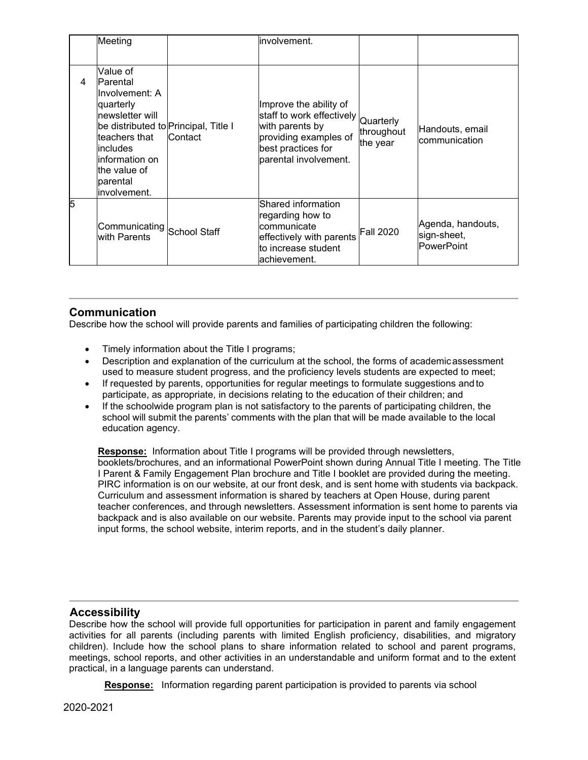|   | Meeting                                                                                                                                                                                                                |              | involvement.                                                                                                                                   |                                     |                                                       |
|---|------------------------------------------------------------------------------------------------------------------------------------------------------------------------------------------------------------------------|--------------|------------------------------------------------------------------------------------------------------------------------------------------------|-------------------------------------|-------------------------------------------------------|
| 4 | Value of<br><b>Parental</b><br>llnvolvement: A<br>quarterly<br>Inewsletter will<br>be distributed to Principal, Title I<br>teachers that<br>lincludes<br>linformation on<br>the value of<br>lparental<br>linvolvement. | Contact      | Improve the ability of<br>staff to work effectively<br>with parents by<br>providing examples of<br>best practices for<br>parental involvement. | Quarterly<br>throughout<br>the year | Handouts, email<br>communication                      |
| 5 | Communicating<br>with Parents                                                                                                                                                                                          | School Staff | Shared information<br>regarding how to<br>communicate<br>effectively with parents<br>to increase student<br>achievement.                       | <b>Fall 2020</b>                    | Agenda, handouts,<br>sign-sheet,<br><b>PowerPoint</b> |

## **Communication**

Describe how the school will provide parents and families of participating children the following:

- Timely information about the Title I programs;
- Description and explanation of the curriculum at the school, the forms of academicassessment used to measure student progress, and the proficiency levels students are expected to meet;
- If requested by parents, opportunities for regular meetings to formulate suggestions and to participate, as appropriate, in decisions relating to the education of their children; and
- If the schoolwide program plan is not satisfactory to the parents of participating children, the school will submit the parents' comments with the plan that will be made available to the local education agency.

**Response:** Information about Title I programs will be provided through newsletters, booklets/brochures, and an informational PowerPoint shown during Annual Title I meeting. The Title I Parent & Family Engagement Plan brochure and Title I booklet are provided during the meeting. PIRC information is on our website, at our front desk, and is sent home with students via backpack. Curriculum and assessment information is shared by teachers at Open House, during parent teacher conferences, and through newsletters. Assessment information is sent home to parents via backpack and is also available on our website. Parents may provide input to the school via parent input forms, the school website, interim reports, and in the student's daily planner.

## **Accessibility**

Describe how the school will provide full opportunities for participation in parent and family engagement activities for all parents (including parents with limited English proficiency, disabilities, and migratory children). Include how the school plans to share information related to school and parent programs, meetings, school reports, and other activities in an understandable and uniform format and to the extent practical, in a language parents can understand.

**Response:** Information regarding parent participation is provided to parents via school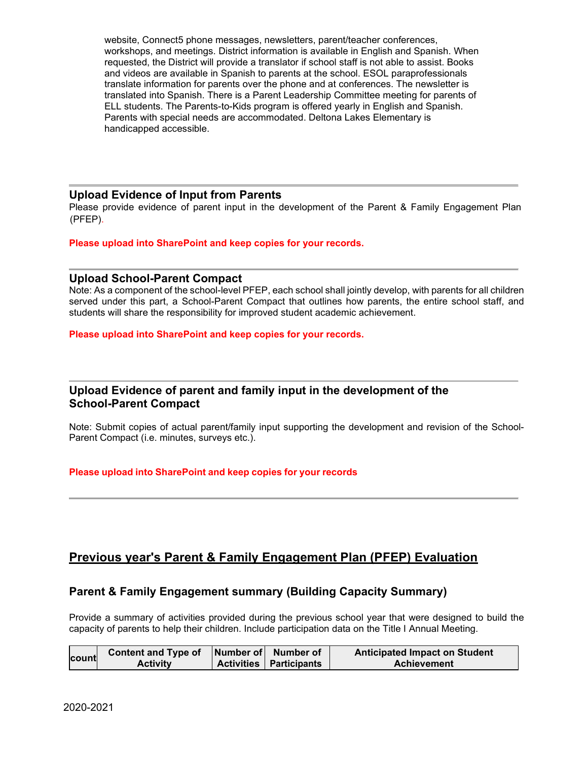website, Connect5 phone messages, newsletters, parent/teacher conferences, workshops, and meetings. District information is available in English and Spanish. When requested, the District will provide a translator if school staff is not able to assist. Books and videos are available in Spanish to parents at the school. ESOL paraprofessionals translate information for parents over the phone and at conferences. The newsletter is translated into Spanish. There is a Parent Leadership Committee meeting for parents of ELL students. The Parents-to-Kids program is offered yearly in English and Spanish. Parents with special needs are accommodated. Deltona Lakes Elementary is handicapped accessible.

#### **Upload Evidence of Input from Parents**

Please provide evidence of parent input in the development of the Parent & Family Engagement Plan (PFEP).

**Please upload into SharePoint and keep copies for your records.**

#### **Upload School-Parent Compact**

Note: As a component of the school-level PFEP, each school shall jointly develop, with parents for all children served under this part, a School-Parent Compact that outlines how parents, the entire school staff, and students will share the responsibility for improved student academic achievement.

**Please upload into SharePoint and keep copies for your records.**

## **Upload Evidence of parent and family input in the development of the School-Parent Compact**

Note: Submit copies of actual parent/family input supporting the development and revision of the School-Parent Compact (i.e. minutes, surveys etc.).

#### **Please upload into SharePoint and keep copies for your records**

## **Previous year's Parent & Family Engagement Plan (PFEP) Evaluation**

## **Parent & Family Engagement summary (Building Capacity Summary)**

Provide a summary of activities provided during the previous school year that were designed to build the capacity of parents to help their children. Include participation data on the Title I Annual Meeting.

|       | <b>Content and Type of</b> | Number of Number of            | <b>Anticipated Impact on Student</b> |
|-------|----------------------------|--------------------------------|--------------------------------------|
| count | Activity                   | <b>Activities Participants</b> | Achievement                          |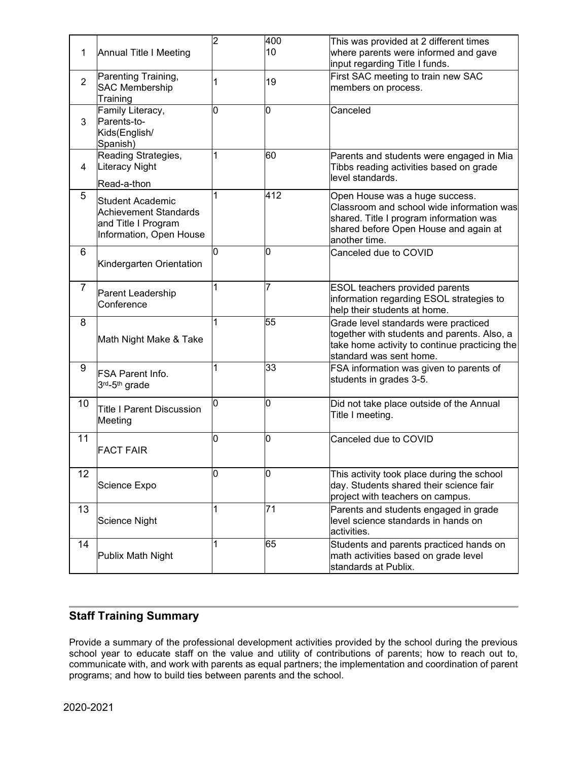| 1              | Annual Title I Meeting                                                                      | $\overline{2}$ | 400<br>10 | This was provided at 2 different times<br>where parents were informed and gave<br>input regarding Title I funds.                                                                 |
|----------------|---------------------------------------------------------------------------------------------|----------------|-----------|----------------------------------------------------------------------------------------------------------------------------------------------------------------------------------|
| $\overline{2}$ | Parenting Training,<br><b>SAC Membership</b><br>Training                                    | 1              | 19        | First SAC meeting to train new SAC<br>members on process.                                                                                                                        |
| 3              | Family Literacy,<br>Parents-to-<br>Kids(English/<br>Spanish)                                | 10             | O         | Canceled                                                                                                                                                                         |
| 4              | Reading Strategies,<br>Literacy Night<br>Read-a-thon                                        | 1              | 60        | Parents and students were engaged in Mia<br>Tibbs reading activities based on grade<br>level standards.                                                                          |
| 5              | Student Academic<br>Achievement Standards<br>and Title I Program<br>Information, Open House | 1              | 412       | Open House was a huge success.<br>Classroom and school wide information was<br>shared. Title I program information was<br>shared before Open House and again at<br>another time. |
| 6              | Kindergarten Orientation                                                                    | l0             | l0        | Canceled due to COVID                                                                                                                                                            |
| $\overline{7}$ | Parent Leadership<br>Conference                                                             | 1              | 7         | ESOL teachers provided parents<br>information regarding ESOL strategies to<br>help their students at home.                                                                       |
| 8              | Math Night Make & Take                                                                      | 1              | 55        | Grade level standards were practiced<br>together with students and parents. Also, a<br>take home activity to continue practicing the<br>standard was sent home.                  |
| 9              | IFSA Parent Info.<br>3rd-5th grade                                                          | 1              | 33        | FSA information was given to parents of<br>students in grades 3-5.                                                                                                               |
| 10             | <b>Title I Parent Discussion</b><br>Meeting                                                 | 10             | Ю         | Did not take place outside of the Annual<br>Title I meeting.                                                                                                                     |
| 11             | <b>FACT FAIR</b>                                                                            | 10             | 0         | Canceled due to COVID                                                                                                                                                            |
| 12             | Science Expo                                                                                | 0              | 0         | This activity took place during the school<br>day. Students shared their science fair<br>project with teachers on campus.                                                        |
| 13             | Science Night                                                                               | 1              | 71        | Parents and students engaged in grade<br>level science standards in hands on<br>activities.                                                                                      |
| 14             | Publix Math Night                                                                           | 1              | 65        | Students and parents practiced hands on<br>math activities based on grade level<br>standards at Publix.                                                                          |

## **Staff Training Summary**

Provide a summary of the professional development activities provided by the school during the previous school year to educate staff on the value and utility of contributions of parents; how to reach out to, communicate with, and work with parents as equal partners; the implementation and coordination of parent programs; and how to build ties between parents and the school.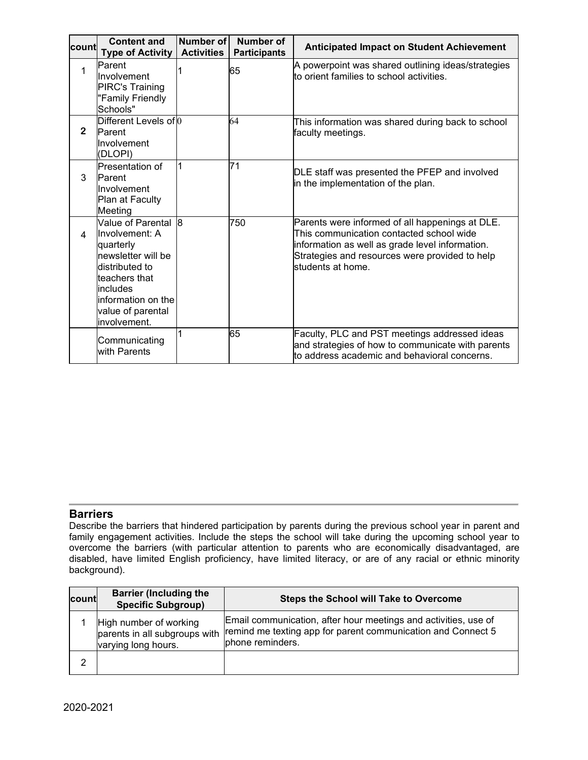| lcount⊧        | <b>Content and</b><br><b>Type of Activity</b>                                                                                                                                         | Number of<br><b>Activities</b> | <b>Number of</b><br><b>Participants</b> | <b>Anticipated Impact on Student Achievement</b>                                                                                                                                                                      |
|----------------|---------------------------------------------------------------------------------------------------------------------------------------------------------------------------------------|--------------------------------|-----------------------------------------|-----------------------------------------------------------------------------------------------------------------------------------------------------------------------------------------------------------------------|
| 1              | <b>Parent</b><br><b>Involvement</b><br><b>PIRC's Training</b><br>"Family Friendly<br>Schools"                                                                                         |                                | 65                                      | A powerpoint was shared outlining ideas/strategies<br>to orient families to school activities.                                                                                                                        |
| $\overline{2}$ | Different Levels of 0<br>Parent<br>Involvement<br>(DLOPI)                                                                                                                             |                                | 64                                      | This information was shared during back to school<br>faculty meetings.                                                                                                                                                |
| 3              | Presentation of<br>Parent<br>llnvolvement<br>Plan at Faculty<br>Meeting                                                                                                               |                                | 71                                      | DLE staff was presented the PFEP and involved<br>in the implementation of the plan.                                                                                                                                   |
| 4              | Value of Parental 8<br>Involvement: A<br>quarterly<br>newsletter will be<br>ldistributed to<br>teachers that<br>includes<br>linformation on the<br>value of parental<br>linvolvement. |                                | 750                                     | Parents were informed of all happenings at DLE.<br>This communication contacted school wide<br>information as well as grade level information.<br>Strategies and resources were provided to help<br>students at home. |
|                | Communicating<br>with Parents                                                                                                                                                         |                                | 65                                      | Faculty, PLC and PST meetings addressed ideas<br>and strategies of how to communicate with parents<br>to address academic and behavioral concerns.                                                                    |

## **Barriers**

Describe the barriers that hindered participation by parents during the previous school year in parent and family engagement activities. Include the steps the school will take during the upcoming school year to overcome the barriers (with particular attention to parents who are economically disadvantaged, are disabled, have limited English proficiency, have limited literacy, or are of any racial or ethnic minority background).

| count | <b>Barrier (Including the</b><br><b>Specific Subgroup)</b>                     | <b>Steps the School will Take to Overcome</b>                                                                                                       |
|-------|--------------------------------------------------------------------------------|-----------------------------------------------------------------------------------------------------------------------------------------------------|
|       | High number of working<br>parents in all subgroups with<br>varying long hours. | Email communication, after hour meetings and activities, use of<br>remind me texting app for parent communication and Connect 5<br>phone reminders. |
| 2     |                                                                                |                                                                                                                                                     |